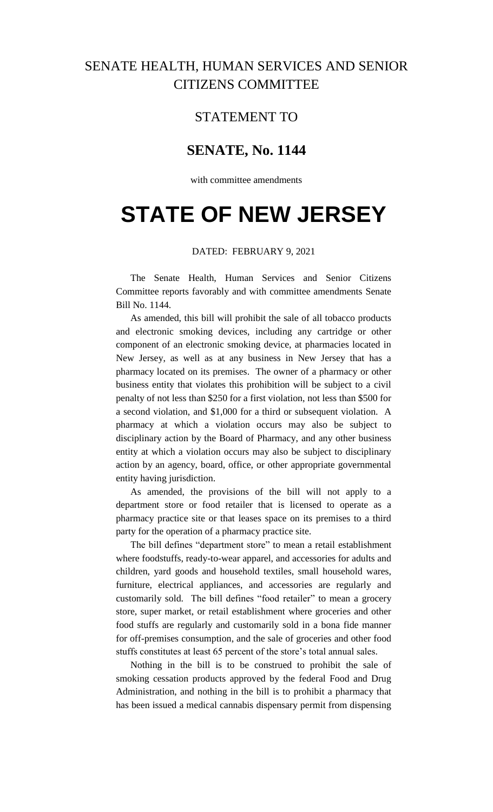## SENATE HEALTH, HUMAN SERVICES AND SENIOR CITIZENS COMMITTEE

## STATEMENT TO

## **SENATE, No. 1144**

with committee amendments

# **STATE OF NEW JERSEY**

#### DATED: FEBRUARY 9, 2021

The Senate Health, Human Services and Senior Citizens Committee reports favorably and with committee amendments Senate Bill No. 1144.

As amended, this bill will prohibit the sale of all tobacco products and electronic smoking devices, including any cartridge or other component of an electronic smoking device, at pharmacies located in New Jersey, as well as at any business in New Jersey that has a pharmacy located on its premises. The owner of a pharmacy or other business entity that violates this prohibition will be subject to a civil penalty of not less than \$250 for a first violation, not less than \$500 for a second violation, and \$1,000 for a third or subsequent violation. A pharmacy at which a violation occurs may also be subject to disciplinary action by the Board of Pharmacy, and any other business entity at which a violation occurs may also be subject to disciplinary action by an agency, board, office, or other appropriate governmental entity having jurisdiction.

As amended, the provisions of the bill will not apply to a department store or food retailer that is licensed to operate as a pharmacy practice site or that leases space on its premises to a third party for the operation of a pharmacy practice site.

The bill defines "department store" to mean a retail establishment where foodstuffs, ready-to-wear apparel, and accessories for adults and children, yard goods and household textiles, small household wares, furniture, electrical appliances, and accessories are regularly and customarily sold. The bill defines "food retailer" to mean a grocery store, super market, or retail establishment where groceries and other food stuffs are regularly and customarily sold in a bona fide manner for off-premises consumption, and the sale of groceries and other food stuffs constitutes at least 65 percent of the store's total annual sales.

Nothing in the bill is to be construed to prohibit the sale of smoking cessation products approved by the federal Food and Drug Administration, and nothing in the bill is to prohibit a pharmacy that has been issued a medical cannabis dispensary permit from dispensing